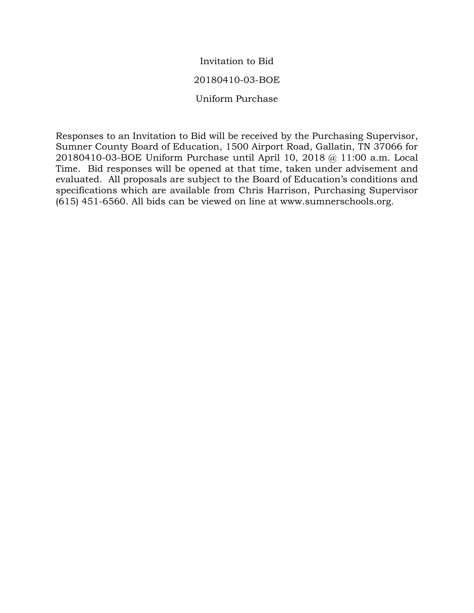Invitation to Bid 20180410-03-BOE Uniform Purchase

Responses to an Invitation to Bid will be received by the Purchasing Supervisor, Sumner County Board of Education, 1500 Airport Road, Gallatin, TN 37066 for 20180410-03-BOE Uniform Purchase until April 10, 2018 @ 11:00 a.m. Local Time. Bid responses will be opened at that time, taken under advisement and evaluated. All proposals are subject to the Board of Education's conditions and specifications which are available from Chris Harrison, Purchasing Supervisor (615) 451-6560. All bids can be viewed on line at www.sumnerschools.org.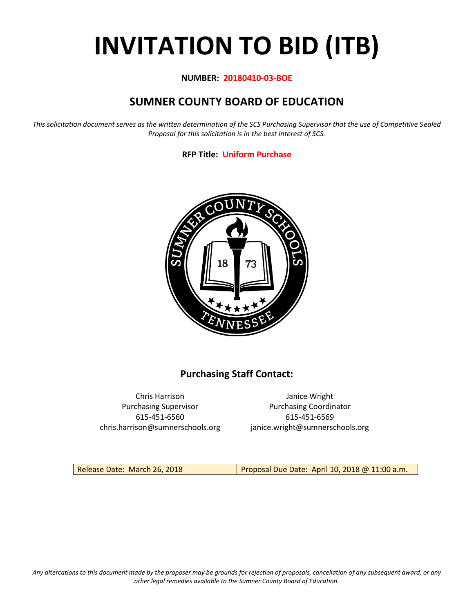# **INVITATION TO BID (ITB)**

#### **NUMBER: 20180410-03-BOE**

# **SUMNER COUNTY BOARD OF EDUCATION**

*This solicitation document serves as the written determination of the SCS Purchasing Supervisor that the use of Competitive Sealed Proposal for this solicitation is in the best interest of SCS.*

#### **RFP Title: Uniform Purchase**



## **Purchasing Staff Contact:**

Chris Harrison Janice Wright 615-451-6560 615-451-6569 chris.harrison@sumnerschools.org janice.wright@sumnerschools.org

Purchasing Supervisor **Purchasing Coordinator** 

Release Date: March 26, 2018 **Proposal Due Date: April 10, 2018 @ 11:00 a.m.**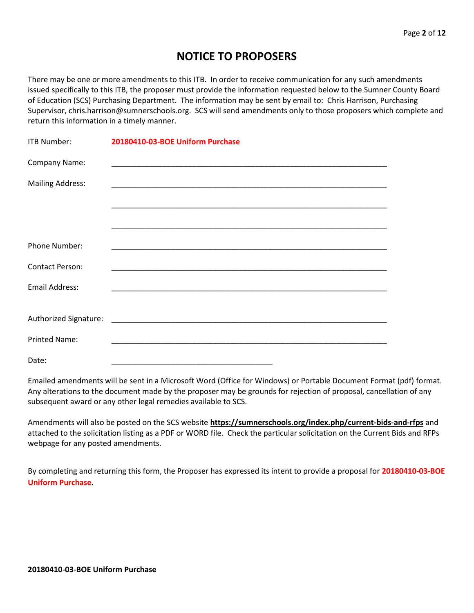# **NOTICE TO PROPOSERS**

There may be one or more amendments to this ITB. In order to receive communication for any such amendments issued specifically to this ITB, the proposer must provide the information requested below to the Sumner County Board of Education (SCS) Purchasing Department. The information may be sent by email to: Chris Harrison, Purchasing Supervisor, chris.harrison@sumnerschools.org. SCS will send amendments only to those proposers which complete and return this information in a timely manner.

| ITB Number:             | 20180410-03-BOE Uniform Purchase |
|-------------------------|----------------------------------|
| Company Name:           |                                  |
| <b>Mailing Address:</b> |                                  |
|                         |                                  |
|                         |                                  |
| Phone Number:           |                                  |
| <b>Contact Person:</b>  |                                  |
| <b>Email Address:</b>   |                                  |
|                         |                                  |
|                         |                                  |
| <b>Printed Name:</b>    |                                  |
| Date:                   |                                  |

Emailed amendments will be sent in a Microsoft Word (Office for Windows) or Portable Document Format (pdf) format. Any alterations to the document made by the proposer may be grounds for rejection of proposal, cancellation of any subsequent award or any other legal remedies available to SCS.

Amendments will also be posted on the SCS website **https://sumnerschools.org/index.php/current-bids-and-rfps** and attached to the solicitation listing as a PDF or WORD file. Check the particular solicitation on the Current Bids and RFPs webpage for any posted amendments.

By completing and returning this form, the Proposer has expressed its intent to provide a proposal for **20180410-03-BOE Uniform Purchase.**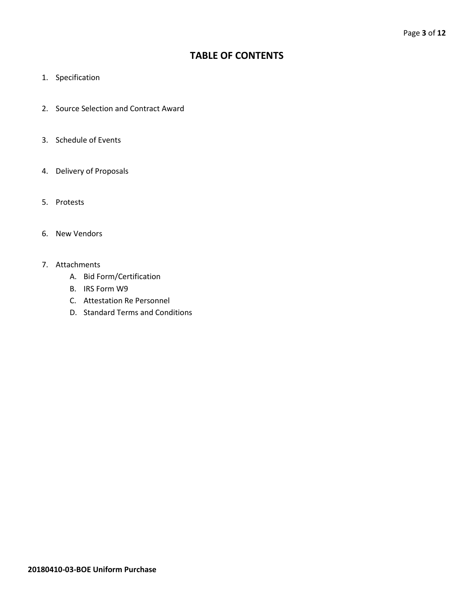### **TABLE OF CONTENTS**

- 1. Specification
- 2. Source Selection and Contract Award
- 3. Schedule of Events
- 4. Delivery of Proposals
- 5. Protests
- 6. New Vendors
- 7. Attachments
	- A. Bid Form/Certification
	- B. IRS Form W9
	- C. Attestation Re Personnel
	- D. Standard Terms and Conditions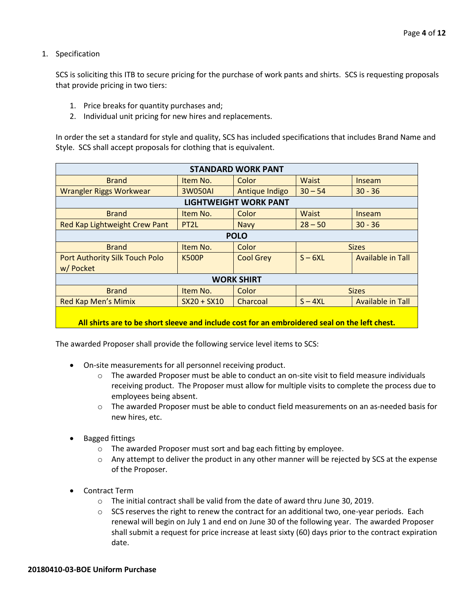1. Specification

SCS is soliciting this ITB to secure pricing for the purchase of work pants and shirts. SCS is requesting proposals that provide pricing in two tiers:

- 1. Price breaks for quantity purchases and;
- 2. Individual unit pricing for new hires and replacements.

In order the set a standard for style and quality, SCS has included specifications that includes Brand Name and Style. SCS shall accept proposals for clothing that is equivalent.

| <b>STANDARD WORK PANT</b>             |                   |                              |                                       |                   |  |  |  |
|---------------------------------------|-------------------|------------------------------|---------------------------------------|-------------------|--|--|--|
| <b>Brand</b>                          | Item No.          | Color                        | Waist<br>Inseam                       |                   |  |  |  |
| <b>Wrangler Riggs Workwear</b>        | 3W050AI           | Antique Indigo               | $30 - 54$                             | $30 - 36$         |  |  |  |
|                                       |                   | <b>LIGHTWEIGHT WORK PANT</b> |                                       |                   |  |  |  |
| <b>Brand</b>                          | Item No.          | Color                        | <b>Waist</b>                          | Inseam            |  |  |  |
| Red Kap Lightweight Crew Pant         | PT <sub>2</sub> L | <b>Navy</b>                  | $28 - 50$                             | $30 - 36$         |  |  |  |
| <b>POLO</b>                           |                   |                              |                                       |                   |  |  |  |
| <b>Brand</b>                          | Item No.          | Color                        | <b>Sizes</b>                          |                   |  |  |  |
| <b>Port Authority Silk Touch Polo</b> | <b>K500P</b>      | <b>Cool Grey</b>             | $S - 6XL$                             | Available in Tall |  |  |  |
| w/ Pocket                             |                   |                              |                                       |                   |  |  |  |
| <b>WORK SHIRT</b>                     |                   |                              |                                       |                   |  |  |  |
| <b>Brand</b>                          | Item No.          | Color                        | <b>Sizes</b>                          |                   |  |  |  |
| <b>Red Kap Men's Mimix</b>            | $SX20 + SX10$     | Charcoal                     | $S - 4XL$<br><b>Available in Tall</b> |                   |  |  |  |
|                                       |                   |                              |                                       |                   |  |  |  |

#### **All shirts are to be short sleeve and include cost for an embroidered seal on the left chest.**

The awarded Proposer shall provide the following service level items to SCS:

- On-site measurements for all personnel receiving product.
	- $\circ$  The awarded Proposer must be able to conduct an on-site visit to field measure individuals receiving product. The Proposer must allow for multiple visits to complete the process due to employees being absent.
	- $\circ$  The awarded Proposer must be able to conduct field measurements on an as-needed basis for new hires, etc.
- Bagged fittings
	- o The awarded Proposer must sort and bag each fitting by employee.
	- $\circ$  Any attempt to deliver the product in any other manner will be rejected by SCS at the expense of the Proposer.
- Contract Term
	- o The initial contract shall be valid from the date of award thru June 30, 2019.
	- $\circ$  SCS reserves the right to renew the contract for an additional two, one-year periods. Each renewal will begin on July 1 and end on June 30 of the following year. The awarded Proposer shall submit a request for price increase at least sixty (60) days prior to the contract expiration date.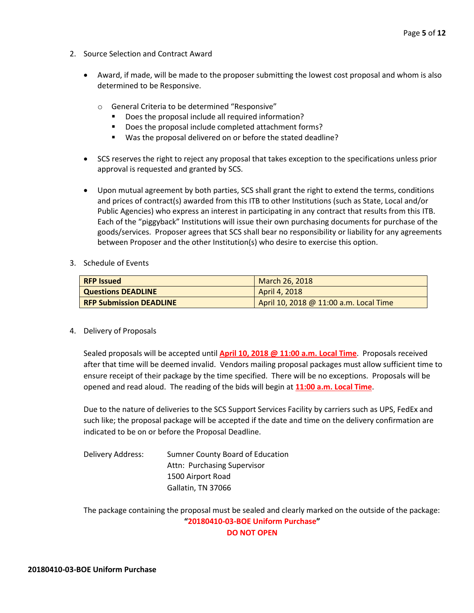- 2. Source Selection and Contract Award
	- Award, if made, will be made to the proposer submitting the lowest cost proposal and whom is also determined to be Responsive.
		- o General Criteria to be determined "Responsive"
			- Does the proposal include all required information?
			- Does the proposal include completed attachment forms?
			- Was the proposal delivered on or before the stated deadline?
	- SCS reserves the right to reject any proposal that takes exception to the specifications unless prior approval is requested and granted by SCS.
	- Upon mutual agreement by both parties, SCS shall grant the right to extend the terms, conditions and prices of contract(s) awarded from this ITB to other Institutions (such as State, Local and/or Public Agencies) who express an interest in participating in any contract that results from this ITB. Each of the "piggyback" Institutions will issue their own purchasing documents for purchase of the goods/services. Proposer agrees that SCS shall bear no responsibility or liability for any agreements between Proposer and the other Institution(s) who desire to exercise this option.
- 3. Schedule of Events

| <b>RFP Issued</b>              | March 26, 2018                         |
|--------------------------------|----------------------------------------|
| <b>Questions DEADLINE</b>      | April 4, 2018                          |
| <b>RFP Submission DEADLINE</b> | April 10, 2018 @ 11:00 a.m. Local Time |

4. Delivery of Proposals

Sealed proposals will be accepted until **April 10, 2018 @ 11:00 a.m. Local Time**. Proposals received after that time will be deemed invalid. Vendors mailing proposal packages must allow sufficient time to ensure receipt of their package by the time specified. There will be no exceptions. Proposals will be opened and read aloud. The reading of the bids will begin at **11:00 a.m. Local Time**.

Due to the nature of deliveries to the SCS Support Services Facility by carriers such as UPS, FedEx and such like; the proposal package will be accepted if the date and time on the delivery confirmation are indicated to be on or before the Proposal Deadline.

Delivery Address: Sumner County Board of Education Attn: Purchasing Supervisor 1500 Airport Road Gallatin, TN 37066

The package containing the proposal must be sealed and clearly marked on the outside of the package: **"20180410-03-BOE Uniform Purchase" DO NOT OPEN**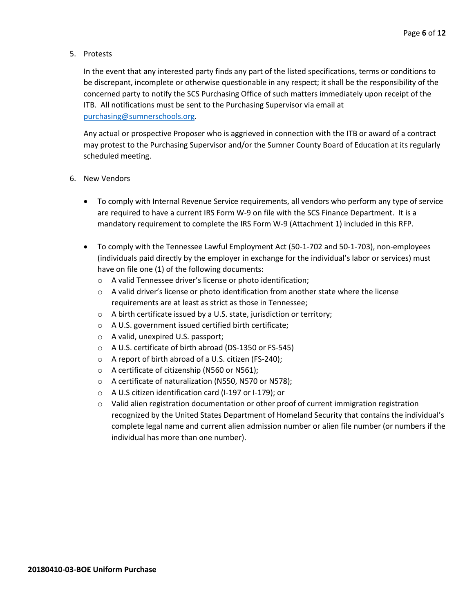#### 5. Protests

In the event that any interested party finds any part of the listed specifications, terms or conditions to be discrepant, incomplete or otherwise questionable in any respect; it shall be the responsibility of the concerned party to notify the SCS Purchasing Office of such matters immediately upon receipt of the ITB. All notifications must be sent to the Purchasing Supervisor via email at [purchasing@sumnerschools.org.](mailto:purchasing@sumnerschools.org)

Any actual or prospective Proposer who is aggrieved in connection with the ITB or award of a contract may protest to the Purchasing Supervisor and/or the Sumner County Board of Education at its regularly scheduled meeting.

- 6. New Vendors
	- To comply with Internal Revenue Service requirements, all vendors who perform any type of service are required to have a current IRS Form W-9 on file with the SCS Finance Department. It is a mandatory requirement to complete the IRS Form W-9 (Attachment 1) included in this RFP.
	- To comply with the Tennessee Lawful Employment Act (50-1-702 and 50-1-703), non-employees (individuals paid directly by the employer in exchange for the individual's labor or services) must have on file one (1) of the following documents:
		- o A valid Tennessee driver's license or photo identification;
		- $\circ$  A valid driver's license or photo identification from another state where the license requirements are at least as strict as those in Tennessee;
		- o A birth certificate issued by a U.S. state, jurisdiction or territory;
		- o A U.S. government issued certified birth certificate;
		- o A valid, unexpired U.S. passport;
		- o A U.S. certificate of birth abroad (DS-1350 or FS-545)
		- o A report of birth abroad of a U.S. citizen (FS-240);
		- o A certificate of citizenship (N560 or N561);
		- o A certificate of naturalization (N550, N570 or N578);
		- o A U.S citizen identification card (I-197 or I-179); or
		- $\circ$  Valid alien registration documentation or other proof of current immigration registration recognized by the United States Department of Homeland Security that contains the individual's complete legal name and current alien admission number or alien file number (or numbers if the individual has more than one number).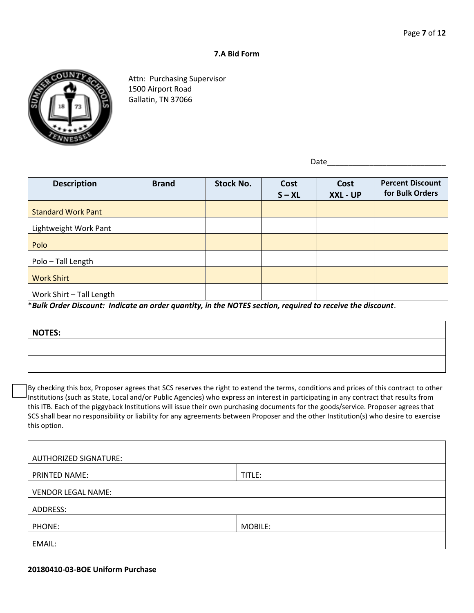#### **7.A Bid Form**



Attn: Purchasing Supervisor 1500 Airport Road Gallatin, TN 37066

Date\_\_\_\_\_\_\_\_\_\_\_\_\_\_\_\_\_\_\_\_\_\_\_\_\_\_\_\_

| <b>Description</b>        | <b>Brand</b> | <b>Stock No.</b> | Cost<br>$S - XL$ | Cost<br>XXL - UP | <b>Percent Discount</b><br>for Bulk Orders |
|---------------------------|--------------|------------------|------------------|------------------|--------------------------------------------|
| <b>Standard Work Pant</b> |              |                  |                  |                  |                                            |
| Lightweight Work Pant     |              |                  |                  |                  |                                            |
| Polo                      |              |                  |                  |                  |                                            |
| Polo - Tall Length        |              |                  |                  |                  |                                            |
| <b>Work Shirt</b>         |              |                  |                  |                  |                                            |
| Work Shirt - Tall Length  |              |                  |                  |                  |                                            |

\**Bulk Order Discount: Indicate an order quantity, in the NOTES section, required to receive the discount*.

| <b>NOTES:</b> |  |  |  |
|---------------|--|--|--|
|               |  |  |  |
|               |  |  |  |

By checking this box, Proposer agrees that SCS reserves the right to extend the terms, conditions and prices of this contract to other Institutions (such as State, Local and/or Public Agencies) who express an interest in participating in any contract that results from this ITB. Each of the piggyback Institutions will issue their own purchasing documents for the goods/service. Proposer agrees that SCS shall bear no responsibility or liability for any agreements between Proposer and the other Institution(s) who desire to exercise this option.

| <b>AUTHORIZED SIGNATURE:</b> |        |  |  |  |  |
|------------------------------|--------|--|--|--|--|
| PRINTED NAME:                | TITLE: |  |  |  |  |
| <b>VENDOR LEGAL NAME:</b>    |        |  |  |  |  |
| ADDRESS:                     |        |  |  |  |  |
| MOBILE:<br>PHONE:            |        |  |  |  |  |
| EMAIL:                       |        |  |  |  |  |

**20180410-03-BOE Uniform Purchase**

Г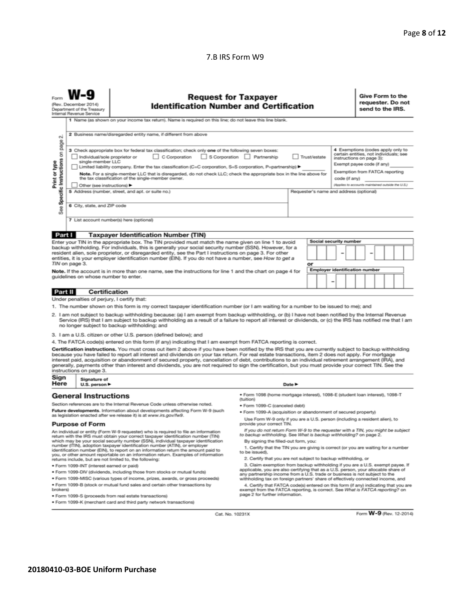#### 7.B IRS Form W9

| <b>Request for Taxpayer</b><br>(Rev. December 2014)<br><b>Identification Number and Certification</b><br>Department of the Treasury<br>Internal Revenue Service<br>1 Name (as shown on your income tax return). Name is required on this line; do not leave this line blank.                                                                                                                                                                                                                                                                                                                                                                                                                                                                                                                                                                                                                                                                                                                                                                                                                                                                                                                                                                                                                                                                                                                                                                                                                                                                                                                                                                                                                                                                                                                                                                                                                                                                                                                                                                                                                                                                                                                                                                                                                                                                                                                                                                                                           |                                                                        |                                                                                                                                                                                                                                                                                                                                                                                                                                                                                                                                                                                                                                                                                                                                                                                                                                                                                                                                                                                                                                                                                                                                                                                                                                                                                                                                     |  |  |    |  | Give Form to the<br>requester. Do not<br>send to the IRS. |  |                                       |  |  |  |
|----------------------------------------------------------------------------------------------------------------------------------------------------------------------------------------------------------------------------------------------------------------------------------------------------------------------------------------------------------------------------------------------------------------------------------------------------------------------------------------------------------------------------------------------------------------------------------------------------------------------------------------------------------------------------------------------------------------------------------------------------------------------------------------------------------------------------------------------------------------------------------------------------------------------------------------------------------------------------------------------------------------------------------------------------------------------------------------------------------------------------------------------------------------------------------------------------------------------------------------------------------------------------------------------------------------------------------------------------------------------------------------------------------------------------------------------------------------------------------------------------------------------------------------------------------------------------------------------------------------------------------------------------------------------------------------------------------------------------------------------------------------------------------------------------------------------------------------------------------------------------------------------------------------------------------------------------------------------------------------------------------------------------------------------------------------------------------------------------------------------------------------------------------------------------------------------------------------------------------------------------------------------------------------------------------------------------------------------------------------------------------------------------------------------------------------------------------------------------------------|------------------------------------------------------------------------|-------------------------------------------------------------------------------------------------------------------------------------------------------------------------------------------------------------------------------------------------------------------------------------------------------------------------------------------------------------------------------------------------------------------------------------------------------------------------------------------------------------------------------------------------------------------------------------------------------------------------------------------------------------------------------------------------------------------------------------------------------------------------------------------------------------------------------------------------------------------------------------------------------------------------------------------------------------------------------------------------------------------------------------------------------------------------------------------------------------------------------------------------------------------------------------------------------------------------------------------------------------------------------------------------------------------------------------|--|--|----|--|-----------------------------------------------------------|--|---------------------------------------|--|--|--|
| 2 Business name/disregarded entity name, if different from above<br>σû<br>page<br>4 Exemptions (codes apply only to<br>3 Check appropriate box for federal tax classification; check only one of the following seven boxes:<br>Specific Instructions on<br>certain entities, not individuals; see<br>C Corporation<br>S Corporation Partnership<br>Individual/sole proprietor or<br>Trust/estate<br>instructions on page 3):<br>single-member LLC<br>Print or type<br>Exempt payee code (if any)<br>Limited liability company. Enter the tax classification (C=C corporation, S=S corporation, P=partnership) ▶<br>Exemption from FATCA reporting<br>Note. For a single-member LLC that is disregarded, do not check LLC; check the appropriate box in the line above for<br>the tax classification of the single-member owner.<br>code (if anv)<br>(Applies to accounts maintained outside the U.S.)<br>Other (see instructions)<br>5 Address (number, street, and apt. or suite no.)<br>Requester's name and address (optional)<br>6 City, state, and ZIP code<br>See<br>7 List account number(s) here (optional)                                                                                                                                                                                                                                                                                                                                                                                                                                                                                                                                                                                                                                                                                                                                                                                                                                                                                                                                                                                                                                                                                                                                                                                                                                                                                                                                                                    |                                                                        |                                                                                                                                                                                                                                                                                                                                                                                                                                                                                                                                                                                                                                                                                                                                                                                                                                                                                                                                                                                                                                                                                                                                                                                                                                                                                                                                     |  |  |    |  |                                                           |  |                                       |  |  |  |
| Part I                                                                                                                                                                                                                                                                                                                                                                                                                                                                                                                                                                                                                                                                                                                                                                                                                                                                                                                                                                                                                                                                                                                                                                                                                                                                                                                                                                                                                                                                                                                                                                                                                                                                                                                                                                                                                                                                                                                                                                                                                                                                                                                                                                                                                                                                                                                                                                                                                                                                                 |                                                                        | <b>Taxpayer Identification Number (TIN)</b>                                                                                                                                                                                                                                                                                                                                                                                                                                                                                                                                                                                                                                                                                                                                                                                                                                                                                                                                                                                                                                                                                                                                                                                                                                                                                         |  |  |    |  |                                                           |  |                                       |  |  |  |
|                                                                                                                                                                                                                                                                                                                                                                                                                                                                                                                                                                                                                                                                                                                                                                                                                                                                                                                                                                                                                                                                                                                                                                                                                                                                                                                                                                                                                                                                                                                                                                                                                                                                                                                                                                                                                                                                                                                                                                                                                                                                                                                                                                                                                                                                                                                                                                                                                                                                                        | TIN on page 3.<br>guidelines on whose number to enter.                 | Enter your TIN in the appropriate box. The TIN provided must match the name given on line 1 to avoid<br>backup withholding. For individuals, this is generally your social security number (SSN). However, for a<br>resident alien, sole proprietor, or disregarded entity, see the Part I instructions on page 3. For other<br>entities, it is your employer identification number (EIN). If you do not have a number, see How to get a<br>Note. If the account is in more than one name, see the instructions for line 1 and the chart on page 4 for                                                                                                                                                                                                                                                                                                                                                                                                                                                                                                                                                                                                                                                                                                                                                                              |  |  | or |  | Social security number                                    |  | <b>Employer identification number</b> |  |  |  |
| <b>Part II</b>                                                                                                                                                                                                                                                                                                                                                                                                                                                                                                                                                                                                                                                                                                                                                                                                                                                                                                                                                                                                                                                                                                                                                                                                                                                                                                                                                                                                                                                                                                                                                                                                                                                                                                                                                                                                                                                                                                                                                                                                                                                                                                                                                                                                                                                                                                                                                                                                                                                                         | <b>Certification</b>                                                   |                                                                                                                                                                                                                                                                                                                                                                                                                                                                                                                                                                                                                                                                                                                                                                                                                                                                                                                                                                                                                                                                                                                                                                                                                                                                                                                                     |  |  |    |  |                                                           |  |                                       |  |  |  |
|                                                                                                                                                                                                                                                                                                                                                                                                                                                                                                                                                                                                                                                                                                                                                                                                                                                                                                                                                                                                                                                                                                                                                                                                                                                                                                                                                                                                                                                                                                                                                                                                                                                                                                                                                                                                                                                                                                                                                                                                                                                                                                                                                                                                                                                                                                                                                                                                                                                                                        | Under penalties of perjury, I certify that:<br>instructions on page 3. | 1. The number shown on this form is my correct taxpayer identification number (or I am waiting for a number to be issued to me); and<br>2. I am not subject to backup withholding because: (a) I am exempt from backup withholding, or (b) I have not been notified by the Internal Revenue<br>Service (IRS) that I am subject to backup withholding as a result of a failure to report all interest or dividends, or (c) the IRS has notified me that I am<br>no longer subject to backup withholding; and<br>3. I am a U.S. citizen or other U.S. person (defined below); and<br>4. The FATCA code(s) entered on this form (if any) indicating that I am exempt from FATCA reporting is correct.<br>Certification instructions. You must cross out item 2 above if you have been notified by the IRS that you are currently subject to backup withholding<br>because you have failed to report all interest and dividends on your tax return. For real estate transactions, item 2 does not apply. For mortgage<br>interest paid, acquisition or abandonment of secured property, cancellation of debt, contributions to an individual retirement arrangement (IRA), and<br>generally, payments other than interest and dividends, you are not required to sign the certification, but you must provide your correct TIN. See the |  |  |    |  |                                                           |  |                                       |  |  |  |
| Sign<br>Signature of<br>Here<br>Date $\blacktriangleright$<br>U.S. person $\blacktriangleright$                                                                                                                                                                                                                                                                                                                                                                                                                                                                                                                                                                                                                                                                                                                                                                                                                                                                                                                                                                                                                                                                                                                                                                                                                                                                                                                                                                                                                                                                                                                                                                                                                                                                                                                                                                                                                                                                                                                                                                                                                                                                                                                                                                                                                                                                                                                                                                                        |                                                                        |                                                                                                                                                                                                                                                                                                                                                                                                                                                                                                                                                                                                                                                                                                                                                                                                                                                                                                                                                                                                                                                                                                                                                                                                                                                                                                                                     |  |  |    |  |                                                           |  |                                       |  |  |  |
| · Form 1098 (home mortgage interest), 1098-E (student loan interest), 1098-T<br><b>General Instructions</b><br>(tuition)<br>Section references are to the Internal Revenue Code unless otherwise noted.<br>• Form 1099-C (canceled debt)<br>Future developments. Information about developments affecting Form W-9 (such<br>. Form 1099-A (acquisition or abandonment of secured property)<br>as legislation enacted after we release it) is at www.irs.gov/fw9.<br>Use Form W-9 only if you are a U.S. person (including a resident alien), to<br><b>Purpose of Form</b><br>provide your correct TIN.<br>If you do not return Form W-9 to the requester with a TIN, you might be subject<br>An individual or entity (Form W-9 requester) who is required to file an information<br>to backup withholding. See What is backup withholding? on page 2.<br>return with the IRS must obtain your correct taxpayer identification number (TIN)<br>which may be your social security number (SSN), individual taxpayer identification<br>By signing the filled-out form, you:<br>number (ITIN), adoption taxpayer identification number (ATIN), or employer<br>1. Certify that the TIN you are giving is correct (or you are waiting for a number<br>identification number (EIN), to report on an information return the amount paid to<br>to be issued).<br>you, or other amount reportable on an information return. Examples of information<br>2. Certify that you are not subject to backup withholding, or<br>returns include, but are not limited to, the following:<br>3. Claim exemption from backup withholding if you are a U.S. exempt payee. If<br>· Form 1099-INT (interest earned or paid)<br>applicable, you are also certifying that as a U.S. person, your allocable share of<br>. Form 1099-DIV (dividends, including those from stocks or mutual funds)<br>any partnership income from a U.S. trade or business is not subject to the<br>. Form 1099-MISC (various types of income, prizes, awards, or gross proceeds)<br>withholding tax on foreign partners' share of effectively connected income, and<br>. Form 1099-B (stock or mutual fund sales and certain other transactions by<br>4. Certify that FATCA code(s) entered on this form (if any) indicating that you are<br>brokers)<br>exempt from the FATCA reporting, is correct. See What is FATCA reporting? on<br>page 2 for further information.<br>· Form 1099-S (proceeds from real estate transactions) |                                                                        |                                                                                                                                                                                                                                                                                                                                                                                                                                                                                                                                                                                                                                                                                                                                                                                                                                                                                                                                                                                                                                                                                                                                                                                                                                                                                                                                     |  |  |    |  |                                                           |  |                                       |  |  |  |
|                                                                                                                                                                                                                                                                                                                                                                                                                                                                                                                                                                                                                                                                                                                                                                                                                                                                                                                                                                                                                                                                                                                                                                                                                                                                                                                                                                                                                                                                                                                                                                                                                                                                                                                                                                                                                                                                                                                                                                                                                                                                                                                                                                                                                                                                                                                                                                                                                                                                                        |                                                                        | . Form 1099-K (merchant card and third party network transactions)                                                                                                                                                                                                                                                                                                                                                                                                                                                                                                                                                                                                                                                                                                                                                                                                                                                                                                                                                                                                                                                                                                                                                                                                                                                                  |  |  |    |  |                                                           |  |                                       |  |  |  |

Cat. No. 10231X

Form W-9 (Rev. 12-2014)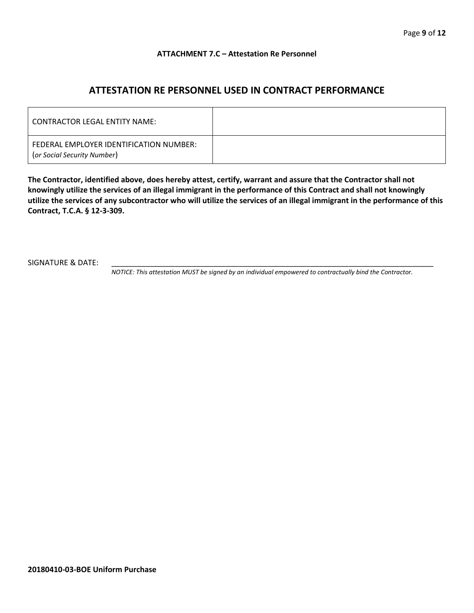#### **ATTACHMENT 7.C – Attestation Re Personnel**

## **ATTESTATION RE PERSONNEL USED IN CONTRACT PERFORMANCE**

| CONTRACTOR LEGAL ENTITY NAME:                                          |  |
|------------------------------------------------------------------------|--|
| FEDERAL EMPLOYER IDENTIFICATION NUMBER:<br>(or Social Security Number) |  |

**The Contractor, identified above, does hereby attest, certify, warrant and assure that the Contractor shall not knowingly utilize the services of an illegal immigrant in the performance of this Contract and shall not knowingly utilize the services of any subcontractor who will utilize the services of an illegal immigrant in the performance of this Contract, T.C.A. § 12-3-309.**

SIGNATURE & DATE:

*NOTICE: This attestation MUST be signed by an individual empowered to contractually bind the Contractor.*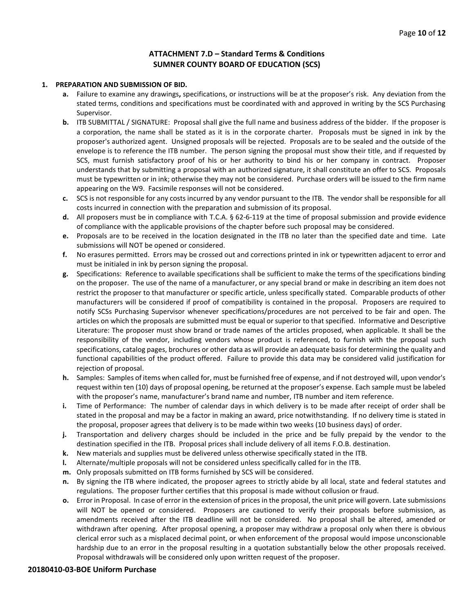#### **ATTACHMENT 7.D – Standard Terms & Conditions SUMNER COUNTY BOARD OF EDUCATION (SCS)**

#### **1. PREPARATION AND SUBMISSION OF BID.**

- **a.** Failure to examine any drawings**,** specifications, or instructions will be at the proposer's risk. Any deviation from the stated terms, conditions and specifications must be coordinated with and approved in writing by the SCS Purchasing Supervisor.
- **b.** ITB SUBMITTAL / SIGNATURE: Proposal shall give the full name and business address of the bidder. If the proposer is a corporation, the name shall be stated as it is in the corporate charter. Proposals must be signed in ink by the proposer's authorized agent. Unsigned proposals will be rejected. Proposals are to be sealed and the outside of the envelope is to reference the ITB number. The person signing the proposal must show their title, and if requested by SCS, must furnish satisfactory proof of his or her authority to bind his or her company in contract. Proposer understands that by submitting a proposal with an authorized signature, it shall constitute an offer to SCS. Proposals must be typewritten or in ink; otherwise they may not be considered. Purchase orders will be issued to the firm name appearing on the W9. Facsimile responses will not be considered.
- **c.** SCS is not responsible for any costs incurred by any vendor pursuant to the ITB. The vendor shall be responsible for all costs incurred in connection with the preparation and submission of its proposal.
- **d.** All proposers must be in compliance with T.C.A. § 62-6-119 at the time of proposal submission and provide evidence of compliance with the applicable provisions of the chapter before such proposal may be considered.
- **e.** Proposals are to be received in the location designated in the ITB no later than the specified date and time. Late submissions will NOT be opened or considered.
- **f.** No erasures permitted. Errors may be crossed out and corrections printed in ink or typewritten adjacent to error and must be initialed in ink by person signing the proposal.
- **g.** Specifications: Reference to available specifications shall be sufficient to make the terms of the specifications binding on the proposer. The use of the name of a manufacturer, or any special brand or make in describing an item does not restrict the proposer to that manufacturer or specific article, unless specifically stated. Comparable products of other manufacturers will be considered if proof of compatibility is contained in the proposal. Proposers are required to notify SCSs Purchasing Supervisor whenever specifications/procedures are not perceived to be fair and open. The articles on which the proposals are submitted must be equal or superior to that specified. Informative and Descriptive Literature: The proposer must show brand or trade names of the articles proposed, when applicable. It shall be the responsibility of the vendor, including vendors whose product is referenced, to furnish with the proposal such specifications, catalog pages, brochures or other data as will provide an adequate basis for determining the quality and functional capabilities of the product offered. Failure to provide this data may be considered valid justification for rejection of proposal.
- **h.** Samples: Samples of items when called for, must be furnished free of expense, and if not destroyed will, upon vendor's request within ten (10) days of proposal opening, be returned at the proposer's expense. Each sample must be labeled with the proposer's name, manufacturer's brand name and number, ITB number and item reference.
- **i.** Time of Performance: The number of calendar days in which delivery is to be made after receipt of order shall be stated in the proposal and may be a factor in making an award, price notwithstanding. If no delivery time is stated in the proposal, proposer agrees that delivery is to be made within two weeks (10 business days) of order.
- **j.** Transportation and delivery charges should be included in the price and be fully prepaid by the vendor to the destination specified in the ITB. Proposal prices shall include delivery of all items F.O.B. destination.
- **k.** New materials and supplies must be delivered unless otherwise specifically stated in the ITB.
- **l.** Alternate/multiple proposals will not be considered unless specifically called for in the ITB.
- **m.** Only proposals submitted on ITB forms furnished by SCS will be considered.
- **n.** By signing the ITB where indicated, the proposer agrees to strictly abide by all local, state and federal statutes and regulations. The proposer further certifies that this proposal is made without collusion or fraud.
- **o.** Error in Proposal. In case of error in the extension of prices in the proposal, the unit price will govern. Late submissions will NOT be opened or considered. Proposers are cautioned to verify their proposals before submission, as amendments received after the ITB deadline will not be considered. No proposal shall be altered, amended or withdrawn after opening. After proposal opening, a proposer may withdraw a proposal only when there is obvious clerical error such as a misplaced decimal point, or when enforcement of the proposal would impose unconscionable hardship due to an error in the proposal resulting in a quotation substantially below the other proposals received. Proposal withdrawals will be considered only upon written request of the proposer.

#### **20180410-03-BOE Uniform Purchase**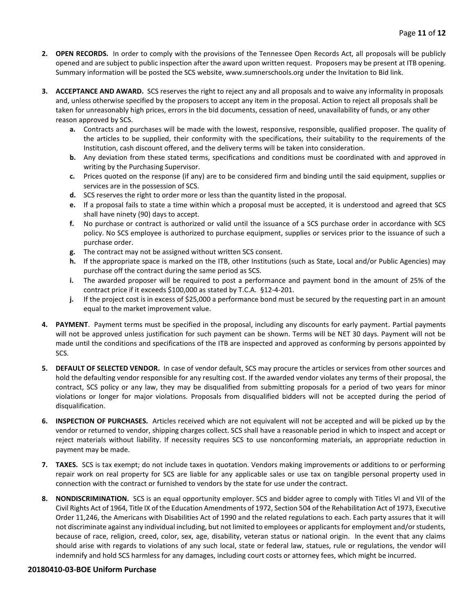- **2. OPEN RECORDS.** In order to comply with the provisions of the Tennessee Open Records Act, all proposals will be publicly opened and are subject to public inspection after the award upon written request. Proposers may be present at ITB opening. Summary information will be posted the SCS website, www.sumnerschools.org under the Invitation to Bid link.
- **3. ACCEPTANCE AND AWARD.** SCS reserves the right to reject any and all proposals and to waive any informality in proposals and, unless otherwise specified by the proposers to accept any item in the proposal. Action to reject all proposals shall be taken for unreasonably high prices, errors in the bid documents, cessation of need, unavailability of funds, or any other reason approved by SCS.
	- **a.** Contracts and purchases will be made with the lowest, responsive, responsible, qualified proposer. The quality of the articles to be supplied, their conformity with the specifications, their suitability to the requirements of the Institution, cash discount offered, and the delivery terms will be taken into consideration.
	- **b.** Any deviation from these stated terms, specifications and conditions must be coordinated with and approved in writing by the Purchasing Supervisor.
	- **c.** Prices quoted on the response (if any) are to be considered firm and binding until the said equipment, supplies or services are in the possession of SCS.
	- **d.** SCS reserves the right to order more or less than the quantity listed in the proposal.
	- **e.** If a proposal fails to state a time within which a proposal must be accepted, it is understood and agreed that SCS shall have ninety (90) days to accept.
	- **f.** No purchase or contract is authorized or valid until the issuance of a SCS purchase order in accordance with SCS policy. No SCS employee is authorized to purchase equipment, supplies or services prior to the issuance of such a purchase order.
	- **g.** The contract may not be assigned without written SCS consent.
	- **h.** If the appropriate space is marked on the ITB, other Institutions (such as State, Local and/or Public Agencies) may purchase off the contract during the same period as SCS.
	- **i.** The awarded proposer will be required to post a performance and payment bond in the amount of 25% of the contract price if it exceeds \$100,000 as stated by T.C.A. §12-4-201.
	- **j.** If the project cost is in excess of \$25,000 a performance bond must be secured by the requesting part in an amount equal to the market improvement value.
- **4. PAYMENT**. Payment terms must be specified in the proposal, including any discounts for early payment. Partial payments will not be approved unless justification for such payment can be shown. Terms will be NET 30 days. Payment will not be made until the conditions and specifications of the ITB are inspected and approved as conforming by persons appointed by SCS.
- **5. DEFAULT OF SELECTED VENDOR.** In case of vendor default, SCS may procure the articles or services from other sources and hold the defaulting vendor responsible for any resulting cost. If the awarded vendor violates any terms of their proposal, the contract, SCS policy or any law, they may be disqualified from submitting proposals for a period of two years for minor violations or longer for major violations. Proposals from disqualified bidders will not be accepted during the period of disqualification.
- **6. INSPECTION OF PURCHASES.** Articles received which are not equivalent will not be accepted and will be picked up by the vendor or returned to vendor, shipping charges collect. SCS shall have a reasonable period in which to inspect and accept or reject materials without liability. If necessity requires SCS to use nonconforming materials, an appropriate reduction in payment may be made.
- **7. TAXES.** SCS is tax exempt; do not include taxes in quotation. Vendors making improvements or additions to or performing repair work on real property for SCS are liable for any applicable sales or use tax on tangible personal property used in connection with the contract or furnished to vendors by the state for use under the contract.
- **8. NONDISCRIMINATION.** SCS is an equal opportunity employer. SCS and bidder agree to comply with Titles VI and VII of the Civil Rights Act of 1964, Title IX of the Education Amendments of 1972, Section 504 of the Rehabilitation Act of 1973, Executive Order 11,246, the Americans with Disabilities Act of 1990 and the related regulations to each. Each party assures that it will not discriminate against any individual including, but not limited to employees or applicants for employment and/or students, because of race, religion, creed, color, sex, age, disability, veteran status or national origin. In the event that any claims should arise with regards to violations of any such local, state or federal law, statues, rule or regulations, the vendor will indemnify and hold SCS harmless for any damages, including court costs or attorney fees, which might be incurred.

#### **20180410-03-BOE Uniform Purchase**